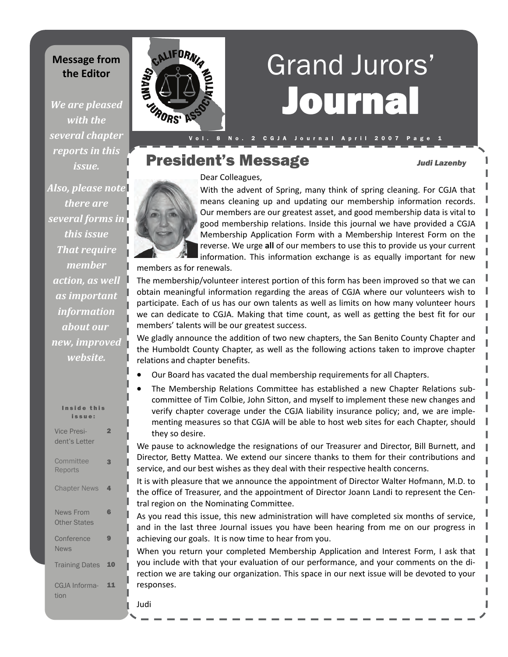## **Message from the Editor**

*We are pleased with the several chapter reports in this issue.*

*Also, please note there are several forms in this issue That require member action, as well as important information about our new, improved website.*

Inside this issue: Vice President's Letter 2 **Committee** Reports 3 **Chapter News** News From Other States 6 **Conference** News 9 Training Dates 10 CGJA Information 11



# Journal Grand Jurors'

# President's Message *Judi Lazenby*

Dear Colleagues,

With the advent of Spring, many think of spring cleaning. For CGJA that means cleaning up and updating our membership information records. Our members are our greatest asset, and good membership data is vital to good membership relations. Inside this journal we have provided a CGJA Membership Application Form with a Membership Interest Form on the reverse. We urge **all** of our members to use this to provide us your current information. This information exchange is as equally important for new

members as for renewals.

The membership/volunteer interest portion of this form has been improved so that we can obtain meaningful information regarding the areas of CGJA where our volunteers wish to participate. Each of us has our own talents as well as limits on how many volunteer hours we can dedicate to CGJA. Making that time count, as well as getting the best fit for our members' talents will be our greatest success.

We gladly announce the addition of two new chapters, the San Benito County Chapter and the Humboldt County Chapter, as well as the following actions taken to improve chapter relations and chapter benefits.

- Our Board has vacated the dual membership requirements for all Chapters.
- The Membership Relations Committee has established a new Chapter Relations subcommittee of Tim Colbie, John Sitton, and myself to implement these new changes and verify chapter coverage under the CGJA liability insurance policy; and, we are imple‐ menting measures so that CGJA will be able to host web sites for each Chapter, should they so desire.

We pause to acknowledge the resignations of our Treasurer and Director, Bill Burnett, and Director, Betty Mattea. We extend our sincere thanks to them for their contributions and service, and our best wishes as they deal with their respective health concerns.

It is with pleasure that we announce the appointment of Director Walter Hofmann, M.D. to the office of Treasurer, and the appointment of Director Joann Landi to represent the Cen‐ tral region on the Nominating Committee.

As you read this issue, this new administration will have completed six months of service, and in the last three Journal issues you have been hearing from me on our progress in achieving our goals. It is now time to hear from you.

When you return your completed Membership Application and Interest Form, I ask that you include with that your evaluation of our performance, and your comments on the di‐ rection we are taking our organization. This space in our next issue will be devoted to your responses.

Judi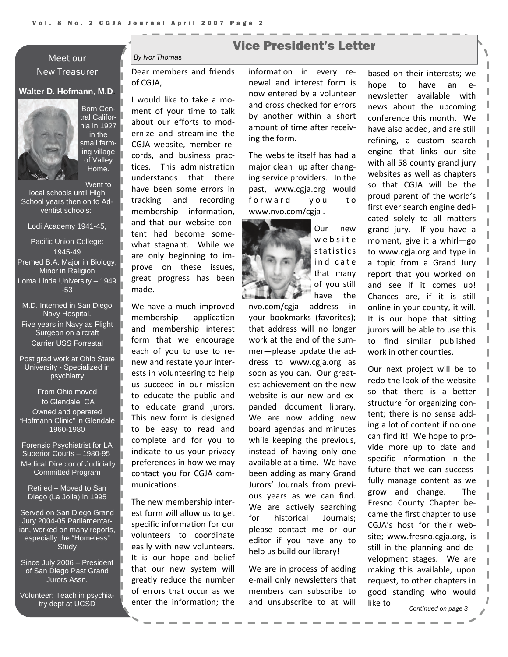## Meet our New Treasurer

#### **Walter D. Hofmann, M.D**.



Born Central California in 1927 in the small farming village of Valley Home.

Went to

local schools until High School years then on to Adventist schools:

Lodi Academy 1941-45,

Pacific Union College: 1945-49 Premed B.A. Major in Biology, Minor in Religion Loma Linda University – 1949 -53

M.D. Interned in San Diego Navy Hospital. Five years in Navy as Flight Surgeon on aircraft Carrier USS Forrestal

Post grad work at Ohio State University - Specialized in psychiatry

From Ohio moved to Glendale, CA Owned and operated "Hofmann Clinic" in Glendale 1960-1980

Forensic Psychiatrist for LA Superior Courts – 1980-95 Medical Director of Judicially Committed Program

Retired – Moved to San Diego (La Jolla) in 1995

Served on San Diego Grand Jury 2004-05 Parliamentarian, worked on many reports, especially the "Homeless" **Study** 

Since July 2006 – President of San Diego Past Grand Jurors Assn.

Volunteer: Teach in psychiatry dept at UCSD

## Vice President's Letter

*By Ivor Thomas* 

Dear members and friends of CGJA,

I would like to take a mo‐ ment of your time to talk about our efforts to mod‐ ernize and streamline the CGJA website, member re‐ cords, and business prac‐ tices. This administration understands that there have been some errors in tracking and recording membership information, and that our website con‐ tent had become some‐ what stagnant. While we are only beginning to im‐ prove on these issues, great progress has been made.

We have a much improved membership application and membership interest form that we encourage each of you to use to re‐ new and restate your inter‐ ests in volunteering to help us succeed in our mission to educate the public and to educate grand jurors. This new form is designed to be easy to read and complete and for you to indicate to us your privacy preferences in how we may contact you for CGJA com‐ munications.

The new membership inter‐ est form will allow us to get specific information for our volunteers to coordinate easily with new volunteers. It is our hope and belief that our new system will greatly reduce the number of errors that occur as we enter the information; the

information in every re‐ newal and interest form is now entered by a volunteer and cross checked for errors by another within a short amount of time after receiv‐ ing the form.

The website itself has had a major clean up after chang‐ ing service providers. In the past, www.cgja.org would forward you to www.nvo.com/cgja .



Our new website statistics indicate that many of you still have the

nvo.com/cgja address in your bookmarks (favorites); that address will no longer work at the end of the sum‐ mer—please update the ad‐ dress to www.cgja.org as soon as you can. Our greatest achievement on the new website is our new and expanded document library. We are now adding new board agendas and minutes while keeping the previous, instead of having only one available at a time. We have been adding as many Grand Jurors' Journals from previ‐ ous years as we can find. We are actively searching for historical Journals; please contact me or our editor if you have any to help us build our library!

We are in process of adding e‐mail only newsletters that members can subscribe to and unsubscribe to at will

based on their interests; we hope to have an e‐ newsletter available with news about the upcoming conference this month. We have also added, and are still refining, a custom search engine that links our site with all 58 county grand jury websites as well as chapters so that CGJA will be the proud parent of the world's first ever search engine dedi‐ cated solely to all matters grand jury. If you have a moment, give it a whirl—go to www.cgja.org and type in a topic from a Grand Jury report that you worked on and see if it comes up! Chances are, if it is still online in your county, it will. It is our hope that sitting jurors will be able to use this to find similar published work in other counties.

Our next project will be to redo the look of the website so that there is a better structure for organizing con‐ tent; there is no sense add‐ ing a lot of content if no one can find it! We hope to pro‐ vide more up to date and specific information in the future that we can success‐ fully manage content as we grow and change. The Fresno County Chapter be‐ came the first chapter to use CGJA's host for their web‐ site; www.fresno.cgja.org, is still in the planning and de‐ velopment stages. We are making this available, upon request, to other chapters in good standing who would like to

*Continued on page 3*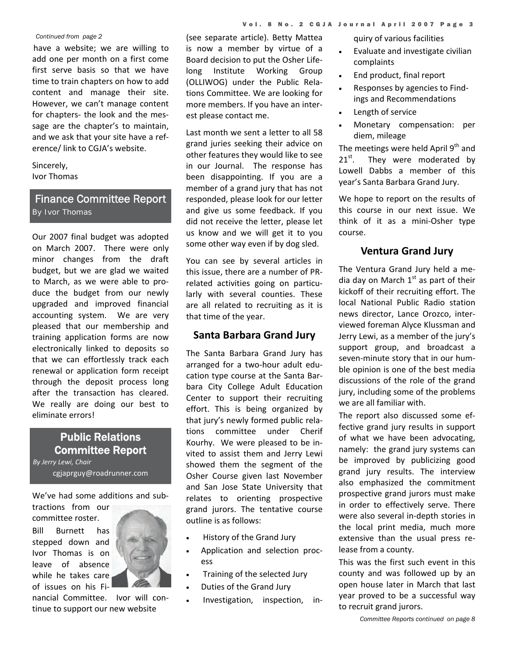#### *Continued from page 2*

have a website; we are willing to add one per month on a first come first serve basis so that we have time to train chapters on how to add content and manage their site. However, we can't manage content for chapters‐ the look and the mes‐ sage are the chapter's to maintain, and we ask that your site have a ref‐ erence/ link to CGJA's website.

Sincerely, Ivor Thomas

### Finance Committee Report *By Ivor Thomas*

Our 2007 final budget was adopted on March 2007. There were only minor changes from the draft budget, but we are glad we waited to March, as we were able to pro‐ duce the budget from our newly upgraded and improved financial accounting system. We are very pleased that our membership and training application forms are now electronically linked to deposits so that we can effortlessly track each renewal or application form receipt through the deposit process long after the transaction has cleared. We really are doing our best to eliminate errors!

## Public Relations Committee Report

*By Jerry Lewi, Chair* cgjaprguy@roadrunner.com

We've had some additions and sub‐

tractions from our committee roster.

Bill Burnett has stepped down and Ivor Thomas is on leave of absence while he takes care of issues on his Fi‐



nancial Committee. Ivor will con‐ tinue to support our new website

(see separate article). Betty Mattea is now a member by virtue of a Board decision to put the Osher Life‐ long Institute Working Group (OLLIWOG) under the Public Rela‐ tions Committee. We are looking for more members. If you have an inter‐ est please contact me.

Last month we sent a letter to all 58 grand juries seeking their advice on other features they would like to see in our Journal. The response has been disappointing. If you are a member of a grand jury that has not responded, please look for our letter and give us some feedback. If you did not receive the letter, please let us know and we will get it to you some other way even if by dog sled.

You can see by several articles in this issue, there are a number of PR‐ related activities going on particu‐ larly with several counties. These are all related to recruiting as it is that time of the year.

#### **Santa Barbara Grand Jury**

The Santa Barbara Grand Jury has arranged for a two‐hour adult edu‐ cation type course at the Santa Bar‐ bara City College Adult Education Center to support their recruiting effort. This is being organized by that jury's newly formed public rela‐ tions committee under Cherif Kourhy. We were pleased to be in‐ vited to assist them and Jerry Lewi showed them the segment of the Osher Course given last November and San Jose State University that relates to orienting prospective grand jurors. The tentative course outline is as follows:

- History of the Grand Jury
- Application and selection process
- Training of the selected Jury
- Duties of the Grand Jury
- Investigation, inspection, in‐

quiry of various facilities

- Evaluate and investigate civilian complaints
- End product, final report
- Responses by agencies to Find‐ ings and Recommendations
- Length of service
- Monetary compensation: per diem, mileage

The meetings were held April  $9<sup>th</sup>$  and  $21^{st}$ . They were moderated by Lowell Dabbs a member of this year's Santa Barbara Grand Jury.

We hope to report on the results of this course in our next issue. We think of it as a mini‐Osher type course.

#### **Ventura Grand Jury**

The Ventura Grand Jury held a me‐ dia day on March  $1<sup>st</sup>$  as part of their kickoff of their recruiting effort. The local National Public Radio station news director, Lance Orozco, inter‐ viewed foreman Alyce Klussman and Jerry Lewi, as a member of the jury's support group, and broadcast a seven-minute story that in our humble opinion is one of the best media discussions of the role of the grand jury, including some of the problems we are all familiar with.

The report also discussed some ef‐ fective grand jury results in support of what we have been advocating, namely: the grand jury systems can be improved by publicizing good grand jury results. The interview also emphasized the commitment prospective grand jurors must make in order to effectively serve. There were also several in‐depth stories in the local print media, much more extensive than the usual press re‐ lease from a county.

This was the first such event in this county and was followed up by an open house later in March that last year proved to be a successful way to recruit grand jurors.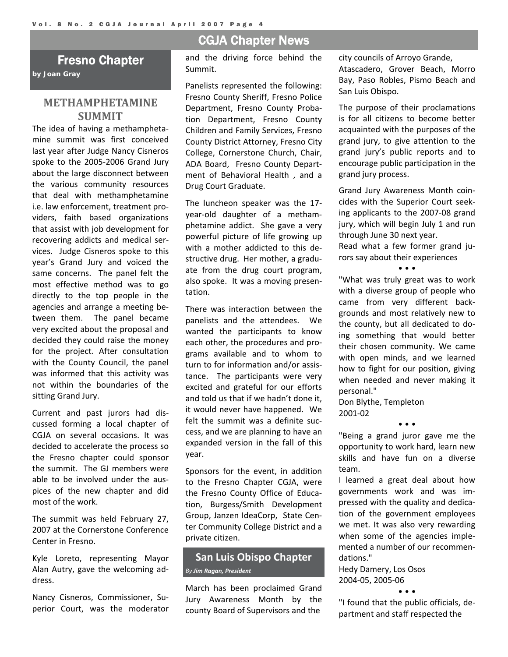## Fresno Chapter

*by Joan Gray*

#### **METHAMPHETAMINE SUMMIT**

The idea of having a methampheta‐ mine summit was first conceived last year after Judge Nancy Cisneros spoke to the 2005‐2006 Grand Jury about the large disconnect between the various community resources that deal with methamphetamine i.e. law enforcement, treatment pro‐ viders, faith based organizations that assist with job development for recovering addicts and medical ser‐ vices. Judge Cisneros spoke to this year's Grand Jury and voiced the same concerns. The panel felt the most effective method was to go directly to the top people in the agencies and arrange a meeting be‐ tween them. The panel became very excited about the proposal and decided they could raise the money for the project. After consultation with the County Council, the panel was informed that this activity was not within the boundaries of the sitting Grand Jury.

Current and past jurors had dis‐ cussed forming a local chapter of CGJA on several occasions. It was decided to accelerate the process so the Fresno chapter could sponsor the summit. The GJ members were able to be involved under the aus‐ pices of the new chapter and did most of the work.

The summit was held February 27, 2007 at the Cornerstone Conference Center in Fresno.

Kyle Loreto, representing Mayor Alan Autry, gave the welcoming ad‐ dress.

Nancy Cisneros, Commissioner, Su‐ perior Court, was the moderator

## CGJA Chapter News

and the driving force behind the Summit.

Panelists represented the following: Fresno County Sheriff, Fresno Police Department, Fresno County Proba‐ tion Department, Fresno County Children and Family Services, Fresno County District Attorney, Fresno City College, Cornerstone Church, Chair, ADA Board, Fresno County Department of Behavioral Health , and a Drug Court Graduate.

The luncheon speaker was the 17‐ year‐old daughter of a metham‐ phetamine addict. She gave a very powerful picture of life growing up with a mother addicted to this destructive drug. Her mother, a gradu‐ ate from the drug court program, also spoke. It was a moving presen‐ tation.

There was interaction between the panelists and the attendees. We wanted the participants to know each other, the procedures and pro‐ grams available and to whom to turn to for information and/or assis‐ tance. The participants were very excited and grateful for our efforts and told us that if we hadn't done it, it would never have happened. We felt the summit was a definite suc‐ cess, and we are planning to have an expanded version in the fall of this year.

Sponsors for the event, in addition to the Fresno Chapter CGJA, were the Fresno County Office of Educa‐ tion, Burgess/Smith Development Group, Janzen IdeaCorp, State Cen‐ ter Community College District and a private citizen.

#### **San Luis Obispo Chapter**  *By Jim Ragan, President*

March has been proclaimed Grand Jury Awareness Month by the county Board of Supervisors and the

city councils of Arroyo Grande, Atascadero, Grover Beach, Morro Bay, Paso Robles, Pismo Beach and San Luis Obispo.

The purpose of their proclamations is for all citizens to become better acquainted with the purposes of the grand jury, to give attention to the grand jury's public reports and to encourage public participation in the grand jury process.

Grand Jury Awareness Month coin‐ cides with the Superior Court seek‐ ing applicants to the 2007‐08 grand jury, which will begin July 1 and run through June 30 next year.

Read what a few former grand ju‐ rors say about their experiences

• • •

"What was truly great was to work with a diverse group of people who came from very different back‐ grounds and most relatively new to the county, but all dedicated to do‐ ing something that would better their chosen community. We came with open minds, and we learned how to fight for our position, giving when needed and never making it personal."

Don Blythe, Templeton 2001‐02

"Being a grand juror gave me the opportunity to work hard, learn new skills and have fun on a diverse team.

• • •

I learned a great deal about how governments work and was im‐ pressed with the quality and dedica‐ tion of the government employees we met. It was also very rewarding when some of the agencies implemented a number of our recommen‐ dations."

Hedy Damery, Los Osos 2004‐05, 2005‐06

• • •

"I found that the public officials, de‐ partment and staff respected the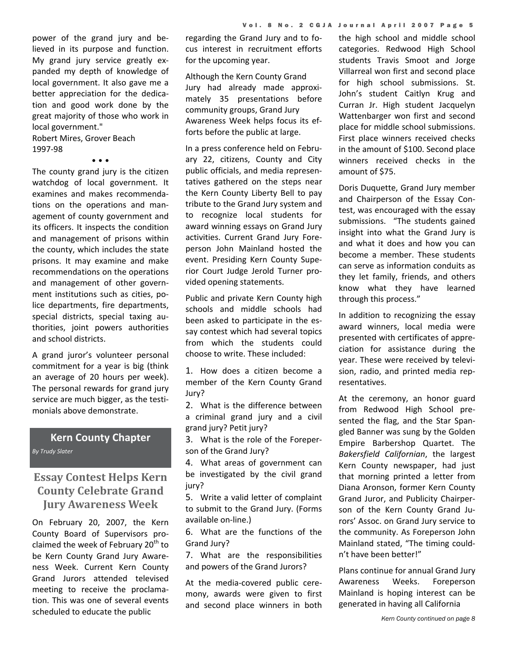power of the grand jury and be‐ lieved in its purpose and function. My grand jury service greatly ex‐ panded my depth of knowledge of local government. It also gave me a better appreciation for the dedication and good work done by the great majority of those who work in local government."

Robert Mires, Grover Beach 1997‐98

• • •

The county grand jury is the citizen watchdog of local government. It examines and makes recommenda‐ tions on the operations and man‐ agement of county government and its officers. It inspects the condition and management of prisons within the county, which includes the state prisons. It may examine and make recommendations on the operations and management of other govern‐ ment institutions such as cities, po‐ lice departments, fire departments, special districts, special taxing au‐ thorities, joint powers authorities and school districts.

A grand juror's volunteer personal commitment for a year is big (think an average of 20 hours per week). The personal rewards for grand jury service are much bigger, as the testi‐ monials above demonstrate.

#### **Kern County Chapter** *By Trudy Slater*

## **Essay Contest Helps Kern County Celebrate Grand Jury Awareness Week**

On February 20, 2007, the Kern County Board of Supervisors pro‐ claimed the week of February  $20<sup>th</sup>$  to be Kern County Grand Jury Aware‐ ness Week. Current Kern County Grand Jurors attended televised meeting to receive the proclama‐ tion. This was one of several events scheduled to educate the public

regarding the Grand Jury and to fo‐ cus interest in recruitment efforts for the upcoming year.

Although the Kern County Grand Jury had already made approxi‐ mately 35 presentations before community groups, Grand Jury Awareness Week helps focus its ef‐ forts before the public at large.

In a press conference held on Febru‐ ary 22, citizens, County and City public officials, and media represen‐ tatives gathered on the steps near the Kern County Liberty Bell to pay tribute to the Grand Jury system and to recognize local students for award winning essays on Grand Jury activities. Current Grand Jury Fore‐ person John Mainland hosted the event. Presiding Kern County Supe‐ rior Court Judge Jerold Turner pro‐ vided opening statements.

Public and private Kern County high schools and middle schools had been asked to participate in the es‐ say contest which had several topics from which the students could choose to write. These included:

1. How does a citizen become a member of the Kern County Grand Jury?

2. What is the difference between a criminal grand jury and a civil grand jury? Petit jury?

3. What is the role of the Foreper‐ son of the Grand Jury?

4. What areas of government can be investigated by the civil grand jury?

5. Write a valid letter of complaint to submit to the Grand Jury. (Forms available on‐line.)

6. What are the functions of the Grand Jury?

7. What are the responsibilities and powers of the Grand Jurors?

At the media‐covered public cere‐ mony, awards were given to first and second place winners in both the high school and middle school categories. Redwood High School students Travis Smoot and Jorge Villarreal won first and second place for high school submissions. St. John's student Caitlyn Krug and Curran Jr. High student Jacquelyn Wattenbarger won first and second place for middle school submissions. First place winners received checks in the amount of \$100. Second place winners received checks in the amount of \$75.

Doris Duquette, Grand Jury member and Chairperson of the Essay Con‐ test, was encouraged with the essay submissions. "The students gained insight into what the Grand Jury is and what it does and how you can become a member. These students can serve as information conduits as they let family, friends, and others know what they have learned through this process."

In addition to recognizing the essay award winners, local media were presented with certificates of appre‐ ciation for assistance during the year. These were received by televi‐ sion, radio, and printed media rep‐ resentatives.

At the ceremony, an honor guard from Redwood High School pre‐ sented the flag, and the Star Span‐ gled Banner was sung by the Golden Empire Barbershop Quartet. The *Bakersfield Californian*, the largest Kern County newspaper, had just that morning printed a letter from Diana Aronson, former Kern County Grand Juror, and Publicity Chairper‐ son of the Kern County Grand Ju‐ rors' Assoc. on Grand Jury service to the community. As Foreperson John Mainland stated, "The timing could‐ n't have been better!"

Plans continue for annual Grand Jury Awareness Weeks. Foreperson Mainland is hoping interest can be generated in having all California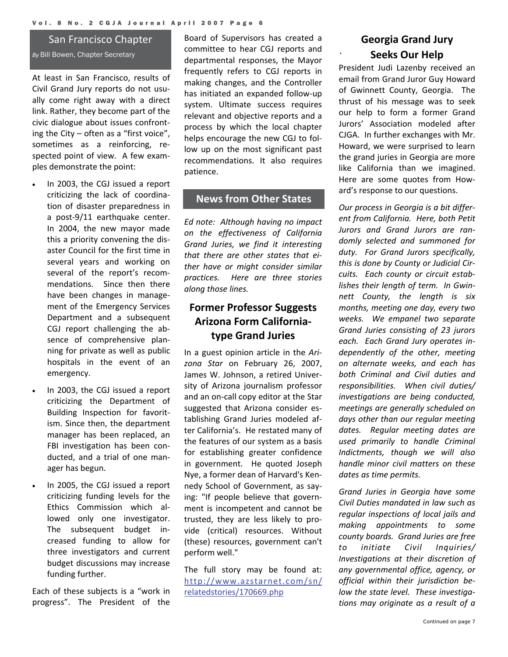#### San Francisco Chapter

*By* Bill Bowen, Chapter Secretary

At least in San Francisco, results of Civil Grand Jury reports do not usu‐ ally come right away with a direct link. Rather, they become part of the civic dialogue about issues confront‐ ing the City – often as a "first voice", sometimes as a reinforcing, respected point of view. A few examples demonstrate the point:

- In 2003, the CGJ issued a report criticizing the lack of coordina‐ tion of disaster preparedness in a post‐9/11 earthquake center. In 2004, the new mayor made this a priority convening the dis‐ aster Council for the first time in several years and working on several of the report's recom‐ mendations. Since then there have been changes in manage‐ ment of the Emergency Services Department and a subsequent CGJ report challenging the ab‐ sence of comprehensive planning for private as well as public hospitals in the event of an emergency.
- In 2003, the CGJ issued a report criticizing the Department of Building Inspection for favorit‐ ism. Since then, the department manager has been replaced, an FBI investigation has been conducted, and a trial of one man‐ ager has begun.
- In 2005, the CGJ issued a report criticizing funding levels for the Ethics Commission which al‐ lowed only one investigator. The subsequent budget in‐ creased funding to allow for three investigators and current budget discussions may increase funding further.

Each of these subjects is a "work in progress". The President of the

Board of Supervisors has created a committee to hear CGJ reports and departmental responses, the Mayor frequently refers to CGJ reports in making changes, and the Controller has initiated an expanded follow‐up system. Ultimate success requires relevant and objective reports and a process by which the local chapter helps encourage the new CGJ to fol‐ low up on the most significant past recommendations. It also requires patience.

### **News from Other States**

*Ed note: Although having no impact on the effectiveness of California Grand Juries, we find it interesting that there are other states that ei‐ ther have or might consider similar practices. Here are three stories along those lines.*

## **Former Professor Suggests Arizona Form California‐ type Grand Juries**

In a guest opinion article in the *Ari‐ zona Star* on February 26, 2007, James W. Johnson, a retired Univer‐ sity of Arizona journalism professor and an on‐call copy editor at the Star suggested that Arizona consider es‐ tablishing Grand Juries modeled af‐ ter California's. He restated many of the features of our system as a basis for establishing greater confidence in government. He quoted Joseph Nye, a former dean of Harvard's Ken‐ nedy School of Government, as say‐ ing: "If people believe that govern‐ ment is incompetent and cannot be trusted, they are less likely to pro‐ vide (critical) resources. Without (these) resources, government can't perform well."

The full story may be found at: [http://www.azstarnet.com/sn/](http://www.azstarnet.com/sn/relatedstories/170669.php) [relatedstories/170669.php](http://www.azstarnet.com/sn/relatedstories/170669.php)

## **Georgia Grand Jury Seeks Our Help**

.

President Judi Lazenby received an email from Grand Juror Guy Howard of Gwinnett County, Georgia. The thrust of his message was to seek our help to form a former Grand Jurors' Association modeled after CJGA. In further exchanges with Mr. Howard, we were surprised to learn the grand juries in Georgia are more like California than we imagined. Here are some quotes from How‐ ard's response to our questions.

*Our process in Georgia is a bit differ‐ ent from California. Here, both Petit Jurors and Grand Jurors are ran‐ domly selected and summoned for duty. For Grand Jurors specifically, this is done by County or Judicial Cir‐ cuits. Each county or circuit estab‐ lishes their length of term. In Gwin‐ nett County, the length is six months, meeting one day, every two weeks. We empanel two separate Grand Juries consisting of 23 jurors each. Each Grand Jury operates in‐ dependently of the other, meeting on alternate weeks, and each has both Criminal and Civil duties and responsibilities. When civil duties/ investigations are being conducted, meetings are generally scheduled on days other than our regular meeting dates. Regular meeting dates are used primarily to handle Criminal Indictments, though we will also handle minor civil matters on these dates as time permits.* 

*Grand Juries in Georgia have some Civil Duties mandated in law such as regular inspections of local jails and making appointments to some county boards. Grand Juries are free to initiate Civil Inquiries/ Investigations at their discretion of any governmental office, agency, or official within their jurisdiction be‐ low the state level. These investiga‐ tions may originate as a result of a*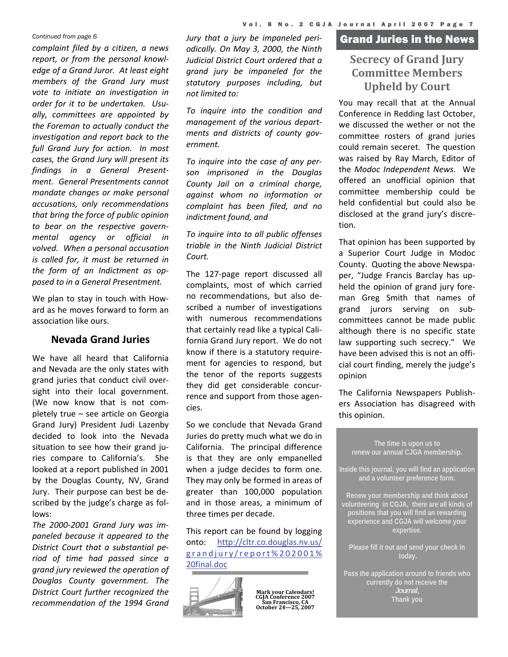*complaint filed by a citizen, a news report, or from the personal knowl‐ edge of a Grand Juror. At least eight members of the Grand Jury must vote to initiate an investigation in order for it to be undertaken. Usu‐ ally, committees are appointed by the Foreman to actually conduct the investigation and report back to the full Grand Jury for action. In most cases, the Grand Jury will present its findings in a General Present‐ ment. General Presentments cannot mandate changes or make personal accusations, only recommendations that bring the force of public opinion to bear on the respective govern‐ mental agency or official in volved. When a personal accusation is called for, it must be returned in the form of an Indictment as op‐ posed to in a General Presentment.* 

We plan to stay in touch with How‐ ard as he moves forward to form an association like ours.

#### **Nevada Grand Juries**

We have all heard that California and Nevada are the only states with grand juries that conduct civil over‐ sight into their local government. (We now know that is not com‐ pletely true – see article on Georgia Grand Jury) President Judi Lazenby decided to look into the Nevada situation to see how their grand juries compare to California's. She looked at a report published in 2001 by the Douglas County, NV, Grand Jury. Their purpose can best be de‐ scribed by the judge's charge as fol‐ lows:

*The 2000‐2001 Grand Jury was im‐ paneled because it appeared to the District Court that a substantial pe‐ riod of time had passed since a grand jury reviewed the operation of Douglas County government. The District Court further recognized the recommendation of the 1994 Grand*

*odically. On May 3, 2000, the Ninth Judicial District Court ordered that a grand jury be impaneled for the statutory purposes including, but not limited to:*

*To inquire into the condition and management of the various depart‐ ments and districts of county gov‐ ernment.*

*To inquire into the case of any per‐ son imprisoned in the Douglas County Jail on a criminal charge, against whom no information or complaint has been filed, and no indictment found, and* 

*To inquire into to all public offenses triable in the Ninth Judicial District Court.*

The 127‐page report discussed all complaints, most of which carried no recommendations, but also de‐ scribed a number of investigations with numerous recommendations that certainly read like a typical Cali‐ fornia Grand Jury report. We do not know if there is a statutory require‐ ment for agencies to respond, but the tenor of the reports suggests they did get considerable concur‐ rence and support from those agencies.

So we conclude that Nevada Grand Juries do pretty much what we do in California. The principal difference is that they are only empanelled when a judge decides to form one. They may only be formed in areas of greater than 100,000 population and in those areas, a minimum of three times per decade.

This report can be found by logging onto: [http://cltr.co.douglas.nv.us/](http://cltr.co.douglas.nv.us/grandjury/report%202001%20final.doc) [grandjury/report%202001%](http://cltr.co.douglas.nv.us/grandjury/report%202001%20final.doc) [20final.doc](http://cltr.co.douglas.nv.us/grandjury/report%202001%20final.doc)



**Mark your Calendars! CGJA Conference 2007 San Francisco, CA October 24—25, 2007**

## Grand Juries in the News *Continued from page 6 Jury that a jury be impaneled peri‐*

## **Secrecy of Grand Jury Committee Members Upheld by Court**

You may recall that at the Annual Conference in Redding last October, we discussed the wether or not the committee rosters of grand juries could remain seceret. The question was raised by Ray March, Editor of the *Modoc Independent News*. We offered an unofficial opinion that committee membership could be held confidential but could also be disclosed at the grand jury's discre‐ tion.

That opinion has been supported by a Superior Court Judge in Modoc County. Quoting the above Newspa‐ per, "Judge Francis Barclay has up‐ held the opinion of grand jury fore‐ man Greg Smith that names of grand jurors serving on sub‐ committees cannot be made public although there is no specific state law supporting such secrecy." We have been advised this is not an offi‐ cial court finding, merely the judge's opinion

The California Newspapers Publish‐ ers Association has disagreed with this opinion.

**The time is upon us to renew our annual CJGA membership. Inside this journal, you will find an application and a volunteer preference form. Renew your membership and think about volunteering in CGJA, there are all kinds of positions that you will find an rewarding experience and CGJA will welcome your expertise. Please fill it out and send your check in** 

**Pass the application around to friends who currently do not receive the Thank you**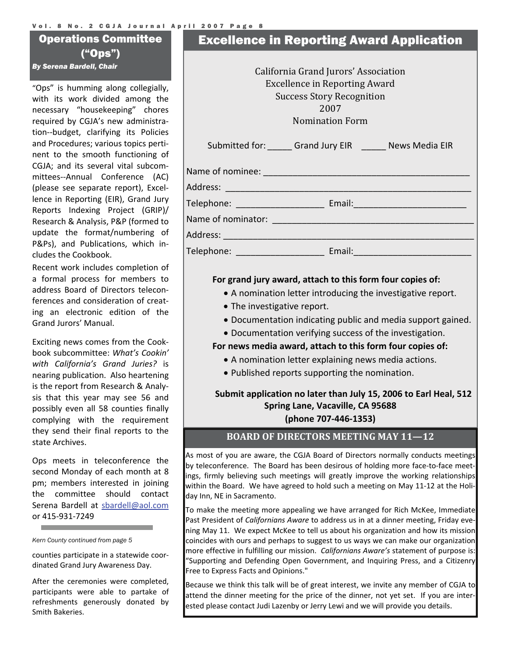#### Vol. 8 No. 2 CGJA Journal April 2007 Page 8

## Operations Committee ("Ops")

"Ops" is humming along collegially, with its work divided among the necessary "housekeeping" chores required by CGJA's new administra‐ tion‐‐budget, clarifying its Policies and Procedures; various topics perti‐ nent to the smooth functioning of CGJA; and its several vital subcom‐ mittees‐‐Annual Conference (AC) (please see separate report), Excel‐ lence in Reporting (EIR), Grand Jury Reports Indexing Project (GRIP)/ Research & Analysis, P&P (formed to update the format/numbering of P&Ps), and Publications, which in‐ cludes the Cookbook.

Recent work includes completion of a formal process for members to address Board of Directors telecon‐ ferences and consideration of creat‐ ing an electronic edition of the Grand Jurors' Manual.

Exciting news comes from the Cook‐ book subcommittee: *What's Cookin' with California's Grand Juries?* is nearing publication. Also heartening is the report from Research & Analy‐ sis that this year may see 56 and possibly even all 58 counties finally complying with the requirement they send their final reports to the state Archives.

Ops meets in teleconference the second Monday of each month at 8 pm; members interested in joining the committee should contact Serena Bardell at [sbardell@aol.com](mailto:sbardell@aol.com) or 415‐931‐7249

*Kern County continued from page 5* 

and the control of the control of the

counties participate in a statewide coor‐ dinated Grand Jury Awareness Day.

After the ceremonies were completed, participants were able to partake of refreshments generously donated by Smith Bakeries.

## Excellence in Reporting Award Application

**By Serena Bardell, Chair California Grand Jurors' Association** Excellence in Reporting Award Success Story Recognition 2007 Nomination Form Submitted for: \_\_\_\_\_ Grand Jury EIR \_\_\_\_\_ News Media EIR

| Name of nominee: |  |  |
|------------------|--|--|
|                  |  |  |

Address: \_\_\_\_\_\_\_\_\_\_\_\_\_\_\_\_\_\_\_\_\_\_\_\_\_\_\_\_\_\_\_\_\_\_\_\_\_\_\_\_\_\_\_\_\_\_\_\_\_\_

Telephone: \_\_\_\_\_\_\_\_\_\_\_\_\_\_\_\_\_\_ Email:\_\_\_\_\_\_\_\_\_\_\_\_\_\_\_\_\_\_\_\_\_\_\_

Name of nominator:

Address: \_\_\_\_\_\_\_\_\_\_\_\_\_\_\_\_\_\_\_\_\_\_\_\_\_\_\_\_\_\_\_\_\_\_\_\_\_\_\_\_\_\_\_\_\_\_\_\_\_\_\_

Telephone: Email:

#### **For grand jury award, attach to this form four copies of:**

- A nomination letter introducing the investigative report.
- The investigative report.
- Documentation indicating public and media support gained.
- Documentation verifying success of the investigation.

#### **For news media award, attach to this form four copies of:**

- A nomination letter explaining news media actions.
- Published reports supporting the nomination.

## **Submit application no later than July 15, 2006 to Earl Heal, 512 Spring Lane, Vacaville, CA 95688**

**(phone 707‐446‐1353)**

#### **BOARD OF DIRECTORS MEETING MAY 11—12**

As most of you are aware, the CGJA Board of Directors normally conducts meetings by teleconference. The Board has been desirous of holding more face‐to‐face meet‐ ings, firmly believing such meetings will greatly improve the working relationships within the Board. We have agreed to hold such a meeting on May 11-12 at the Holiday Inn, NE in Sacramento.

To make the meeting more appealing we have arranged for Rich McKee, Immediate Past President of *Californians Aware* to address us in at a dinner meeting, Friday eve‐ ning May 11. We expect McKee to tell us about his organization and how its mission coincides with ours and perhaps to suggest to us ways we can make our organization more effective in fulfilling our mission. *Californians Aware's* statement of purpose is: "Supporting and Defending Open Government, and Inquiring Press, and a Citizenry Free to Express Facts and Opinions."

Because we think this talk will be of great interest, we invite any member of CGJA to attend the dinner meeting for the price of the dinner, not yet set. If you are inter‐ ested please contact Judi Lazenby or Jerry Lewi and we will provide you details.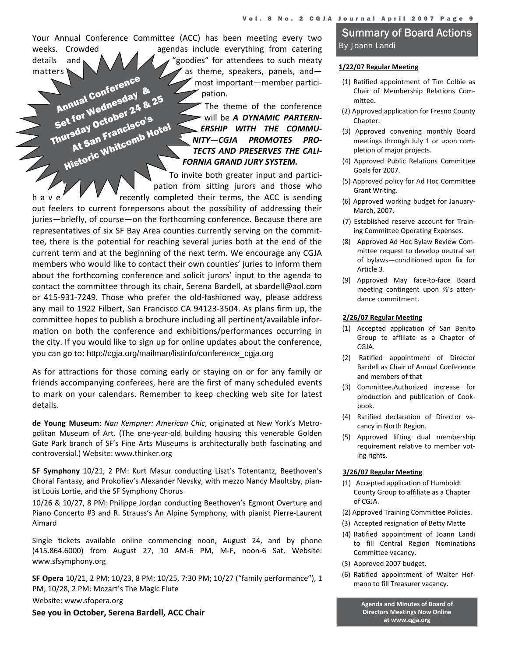Your Annual Conference Committee (ACC) has been meeting every two weeks. Crowded a same agendas include everything from catering details and  $\bigwedge \bigwedge \bigwedge \bigwedge$  "goodies" for attendees to such meaty matters  $\sum_{n=1}^{\infty}$  as theme, speakers, panels, and most important—member partici‐ pation. Annual Conference<br>Annual Conference<br>Set for Wednesday<br>Set for Wednesday<br>Inureday October 24 & Annual Confereday &

Annual Compesday<br>Set for Wednesday<br>Thursday October 24 & 25<br>Thursday October 20015 for octopy<br>sday octopy<br>At San Francisco's

The theme of the conference will be *A DYNAMIC PARTERN‐ ERSHIP WITH THE COMMU‐ NITY—CGJA PROMOTES PRO‐ TECTS AND PRESERVES THE CALI‐ FORNIA GRAND JURY SYSTEM.*

To invite both greater input and partici‐ pation from sitting jurors and those who **Historic Whitcomb Hotel** 

h a v e' $\mathbb{V}$   $\mathbb{V}$  recently completed their terms, the ACC is sending out feelers to current forepersons about the possibility of addressing their juries—briefly, of course—on the forthcoming conference. Because there are representatives of six SF Bay Area counties currently serving on the commit‐ tee, there is the potential for reaching several juries both at the end of the current term and at the beginning of the next term. We encourage any CGJA members who would like to contact their own counties' juries to inform them about the forthcoming conference and solicit jurors' input to the agenda to contact the committee through its chair, Serena Bardell, at sbardell@aol.com or 415‐931‐7249. Those who prefer the old‐fashioned way, please address any mail to 1922 Filbert, San Francisco CA 94123‐3504. As plans firm up, the committee hopes to publish a brochure including all pertinent/available infor‐ mation on both the conference and exhibitions/performances occurring in the city. If you would like to sign up for online updates about the conference, you can go to: http://cgja.org/mailman/listinfo/conference\_cgja.org

As for attractions for those coming early or staying on or for any family or friends accompanying conferees, here are the first of many scheduled events to mark on your calendars. Remember to keep checking web site for latest details.

**de Young Museum**: *Nan Kempner: American Chic*, originated at New York's Metro‐ politan Museum of Art. (The one‐year‐old building housing this venerable Golden Gate Park branch of SF's Fine Arts Museums is architecturally both fascinating and controversial.) Website: www.thinker.org

**SF Symphony** 10/21, 2 PM: Kurt Masur conducting Liszt's Totentantz, Beethoven's Choral Fantasy, and Prokofiev's Alexander Nevsky, with mezzo Nancy Maultsby, pian‐ ist Louis Lortie, and the SF Symphony Chorus

10/26 & 10/27, 8 PM: Philippe Jordan conducting Beethoven's Egmont Overture and Piano Concerto #3 and R. Strauss's An Alpine Symphony, with pianist Pierre‐Laurent Aimard

Single tickets available online commencing noon, August 24, and by phone (415.864.6000) from August 27, 10 AM‐6 PM, M‐F, noon‐6 Sat. Website: www.sfsymphony.org

**SF Opera** 10/21, 2 PM; 10/23, 8 PM; 10/25, 7:30 PM; 10/27 ("family performance"), 1 PM; 10/28, 2 PM: Mozart's The Magic Flute

Website: www.sfopera.org

**See you in October, Serena Bardell, ACC Chair**

#### Summary of Board Actions *By Joann Landi*

#### **1/22/07 Regular Meeting**

- (1) Ratified appointment of Tim Colbie as Chair of Membership Relations Com‐ mittee.
- (2) Approved application for Fresno County Chapter.
- (3) Approved convening monthly Board meetings through July 1 or upon com‐ pletion of major projects.
- (4) Approved Public Relations Committee Goals for 2007.
- (5) Approved policy for Ad Hoc Committee Grant Writing.
- (6) Approved working budget for January‐ March, 2007.
- (7) Established reserve account for Train‐ ing Committee Operating Expenses.
- (8) Approved Ad Hoc Bylaw Review Com‐ mittee request to develop neutral set of bylaws—conditioned upon fix for Article 3.
- (9) Approved May face‐to‐face Board meeting contingent upon ⅔'s atten‐ dance commitment.

#### **2/26/07 Regular Meeting**

- (1) Accepted application of San Benito Group to affiliate as a Chapter of CGJA.
- (2) Ratified appointment of Director Bardell as Chair of Annual Conference and members of that
- (3) Committee.Authorized increase for production and publication of Cook‐ book.
- (4) Ratified declaration of Director va‐ cancy in North Region.
- (5) Approved lifting dual membership requirement relative to member vot‐ ing rights.

#### **3/26/07 Regular Meeting**

- (1) Accepted application of Humboldt County Group to affiliate as a Chapter of CGJA.
- (2) Approved Training Committee Policies.
- (3) Accepted resignation of Betty Matte
- (4) Ratified appointment of Joann Landi to fill Central Region Nominations Committee vacancy.
- (5) Approved 2007 budget.
- (6) Ratified appointment of Walter Hof‐ mann to fill Treasurer vacancy.

**Agenda and Minutes of Board of Directors Meetings Now Online at www.cgja.org**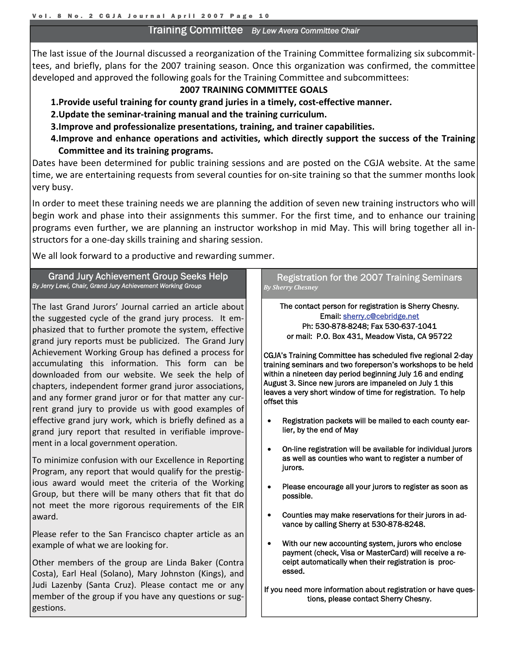#### Training Committee *By Lew Avera Committee Chair*

The last issue of the Journal discussed a reorganization of the Training Committee formalizing six subcommit‐ tees, and briefly, plans for the 2007 training season. Once this organization was confirmed, the committee developed and approved the following goals for the Training Committee and subcommittees:

#### **2007 TRAINING COMMITTEE GOALS**

- **1.Provide useful training for county grand juries in a timely, cost‐effective manner.**
- **2.Update the seminar‐training manual and the training curriculum.**
- **3.Improve and professionalize presentations, training, and trainer capabilities.**
- **4.Improve and enhance operations and activities, which directly support the success of the Training Committee and its training programs.**

Dates have been determined for public training sessions and are posted on the CGJA website. At the same time, we are entertaining requests from several counties for on‐site training so that the summer months look very busy.

In order to meet these training needs we are planning the addition of seven new training instructors who will begin work and phase into their assignments this summer. For the first time, and to enhance our training programs even further, we are planning an instructor workshop in mid May. This will bring together all instructors for a one‐day skills training and sharing session.

We all look forward to a productive and rewarding summer.

#### Grand Jury Achievement Group Seeks Help *By Jerry Lewi, Chair, Grand Jury Achievement Working Group*

The last Grand Jurors' Journal carried an article about the suggested cycle of the grand jury process. It em‐ phasized that to further promote the system, effective grand jury reports must be publicized. The Grand Jury Achievement Working Group has defined a process for accumulating this information. This form can be downloaded from our website. We seek the help of chapters, independent former grand juror associations, and any former grand juror or for that matter any cur‐ rent grand jury to provide us with good examples of effective grand jury work, which is briefly defined as a grand jury report that resulted in verifiable improve‐ ment in a local government operation.

To minimize confusion with our Excellence in Reporting Program, any report that would qualify for the prestig‐ ious award would meet the criteria of the Working Group, but there will be many others that fit that do not meet the more rigorous requirements of the EIR award.

Please refer to the San Francisco chapter article as an example of what we are looking for.

Other members of the group are Linda Baker (Contra Costa), Earl Heal (Solano), Mary Johnston (Kings), and Judi Lazenby (Santa Cruz). Please contact me or any member of the group if you have any questions or suggestions.

#### Registration for the 2007 Training Seminars *By Sherry Chesney*

The contact person for registration is Sherry Chesny. Email: [sherry.c@cebridge.net](mailto:sherry.c@cebridge.net) Ph: 530-878-8248; Fax 530-637-1041 or mail: P.O. Box 431, Meadow Vista, CA 95722

CGJA's Training Committee has scheduled five regional 2-day training seminars and two foreperson's workshops to be held within a nineteen day period beginning July 16 and ending August 3. Since new jurors are impaneled on July 1 this leaves a very short window of time for registration. To help offset this

- Registration packets will be mailed to each county earlier, by the end of May
- On-line registration will be available for individual jurors as well as counties who want to register a number of jurors.
- Please encourage all your jurors to register as soon as possible.
- Counties may make reservations for their jurors in advance by calling Sherry at 530-878-8248.
- With our new accounting system, jurors who enclose payment (check, Visa or MasterCard) will receive a receipt automatically when their registration is processed.

```
If you need more information about registration or have ques-
tions, please contact Sherry Chesny.
```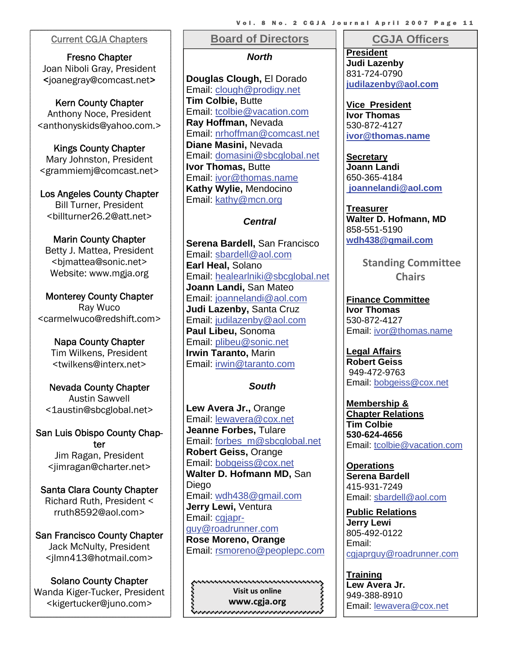Fresno Chapter Joan Niboli Gray, President <joanegray@comcast.net>

Kern County Chapter Anthony Noce, President <anthonyskids@yahoo.com.>

Kings County Chapter Mary Johnston, President <grammiemj@comcast.net>

Los Angeles County Chapter Bill Turner, President <billturner26.2@att.net>

Marin County Chapter Betty J. Mattea, President <bjmattea@sonic.net> Website: www.mgja.org

Monterey County Chapter Ray Wuco <carmelwuco@redshift.com>

> Napa County Chapter Tim Wilkens, President <twilkens@interx.net>

Nevada County Chapter Austin Sawvell <1austin@sbcglobal.net>

San Luis Obispo County Chapter Jim Ragan, President <jimragan@charter.net>

Santa Clara County Chapter Richard Ruth, President < rruth8592@aol.com>

San Francisco County Chapter Jack McNulty, President <jlmn413@hotmail.com>

Solano County Chapter Wanda Kiger-Tucker, President <kigertucker@juno.com>

#### **Board of Directors Current CGJA Chapters II Board of Directors II CGJA Officers**

*N[orth](mailto:cgjaprguy@roadrunner.com)*

**[Douglas Clough,](mailto:cgjaprguy@roadrunner.com)** El Dorado Email: [clough@prodigy.net](mailto:clough@prodigy.net) **Tim Colbie,** Butte Email: [tcolbie@vacation.com](mailto:tcolbie@vacation.com) **Ray Hoffman,** Nevada Email: [nrhoffman@comcast.net](mailto:nrhoffman@comcast.net) **Diane Masini,** Nevada Email: [domasini@sbcglobal.net](mailto:domasini@sbcglobal.net) **Ivor Thomas, Butte** Email: [ivor@thomas.name](mailto:ivor@thomas.name) **Kathy Wylie,** Mendocino Email: [kathy@mcn.org](mailto:kathy@mcn.org)

#### *Central*

**Serena Bardell,** San Francisco Email: [sbardell@aol.com](mailto:sbardell@aol.com)  **Earl Heal,** Solano Email: [healearlniki@sbcglobal.ne](mailto:healearlniki@sbcglobal.net)t **Joann Landi,** San Mateo Email: [joannelandi@aol.com](mailto:joannelandi@aol.com) **Judi Lazenby,** Santa Cruz Email: [judilazenby@aol.com](mailto:JUDILAZENBY@aol.com) **Paul Libeu,** Sonoma Email: [plibeu@sonic.net](mailto:plibeu@sonic.net) **Irwin Taranto,** Marin Email: [irwin@taranto.com](mailto:irwin@taranto.com)

#### *South*

**Lew Avera Jr.,** Orange Email: [lewavera@cox.ne](mailto:lewavera@cox.net)t **Jeanne Forbes,** Tulare Email: [forbes\\_m@sbcglobal.ne](mailto:forbes_m@sbcglobal.net)t **Robert Geiss,** Orange Email: [bobgeiss@cox.ne](mailto:bobgeiss@cox.net)t **Walter D. Hofmann MD,** San **Diego** Email: [wdh438@gmail.com](mailto:wdh438@aol.com) **Jerry Lewi,** Ventura Email: [cgjapr](mailto:cgjaprguy@roadrunner.com)guy@roadrunner.com **Rose Moreno, Orange** Email: [rsmoreno@peoplepc.com](mailto:dwpesq@yahoo.com)

funcionamentalementalementalementalem **Visit us online www.cgja.org**Revenerencementen en en en en en en en en en

**President Judi Lazenby**  831-724-0790 **[judilazenby@aol.com](mailto:JUDILAZENBY@aol.com)**

**Vice President Ivor Thomas**  530-872-4127 **[ivor@thomas.name](mailto:ivor@thomas.name)**

**Secretary Joann Landi** 650-365-4184  **[joannelandi@aol.com](mailto:joannelandi@aol.com)** 

**Treasurer Walter D. Hofmann, MD**  858-551-5190 **[wdh438@gmail.com](mailto:wdh438@aol.com)**

> **Standing Committee Chairs**

**Finance Committee Ivor Thomas**  530-872-4127 Email: [ivor@thomas.name](mailto:ivor@thomas.name)

**Legal Affairs Robert Geiss**  949-472-9763 Email: [bobgeiss@cox.net](mailto:bobgeiss@cox.net)

**Membership & Chapter Relations Tim Colbie 530-624-4656**  Email: [tcolbie@vacation.com](mailto:tcolbie@vacation.com)

**Operations Serena Bardell**  415-931-7249 Email: [sbardell@aol.com](mailto:sbardell@aol.com)

**Public Relations Jerry Lewi**  805-492-0122 Email: [cgjaprguy@roadrunner.com](mailto:cgjaprguy@roadrunner.com)

**Training Lew Avera Jr.**  949-388-8910 Email: [lewavera@cox.net](mailto:lewavera@cox.net)